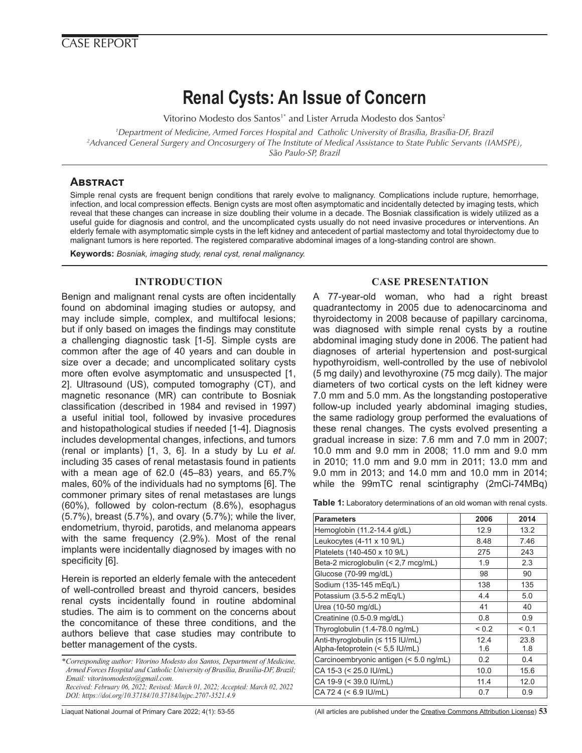# **Renal Cysts: An Issue of Concern**

Vitorino Modesto dos Santos<sup>1\*</sup> and Lister Arruda Modesto dos Santos<sup>2</sup>

*1 Department of Medicine, Armed Forces Hospital and Catholic University of Brasília, Brasília-DF, Brazil 2 Advanced General Surgery and Oncosurgery of The Institute of Medical Assistance to State Public Servants (IAMSPE), São Paulo-SP, Brazil*

# **Abstract**

Simple renal cysts are frequent benign conditions that rarely evolve to malignancy. Complications include rupture, hemorrhage, infection, and local compression effects. Benign cysts are most often asymptomatic and incidentally detected by imaging tests, which reveal that these changes can increase in size doubling their volume in a decade. The Bosniak classification is widely utilized as a useful guide for diagnosis and control, and the uncomplicated cysts usually do not need invasive procedures or interventions. An elderly female with asymptomatic simple cysts in the left kidney and antecedent of partial mastectomy and total thyroidectomy due to malignant tumors is here reported. The registered comparative abdominal images of a long-standing control are shown.

**Keywords:** *Bosniak, imaging study, renal cyst, renal malignancy.* 

# **INTRODUCTION**

Benign and malignant renal cysts are often incidentally found on abdominal imaging studies or autopsy, and may include simple, complex, and multifocal lesions; but if only based on images the findings may constitute a challenging diagnostic task [1-5]. Simple cysts are common after the age of 40 years and can double in size over a decade; and uncomplicated solitary cysts more often evolve asymptomatic and unsuspected [1, 2]. Ultrasound (US), computed tomography (CT), and magnetic resonance (MR) can contribute to Bosniak classification (described in 1984 and revised in 1997) a useful initial tool, followed by invasive procedures and histopathological studies if needed [1-4]. Diagnosis includes developmental changes, infections, and tumors (renal or implants) [1, 3, 6]. In a study by Lu *et al.* including 35 cases of renal metastasis found in patients with a mean age of 62.0 (45–83) years, and 65.7% males, 60% of the individuals had no symptoms [6]. The commoner primary sites of renal metastases are lungs (60%), followed by colon-rectum (8.6%), esophagus (5.7%), breast (5.7%), and ovary (5.7%); while the liver, endometrium, thyroid, parotids, and melanoma appears with the same frequency (2.9%). Most of the renal implants were incidentally diagnosed by images with no specificity [6].

Herein is reported an elderly female with the antecedent of well-controlled breast and thyroid cancers, besides renal cysts incidentally found in routine abdominal studies. The aim is to comment on the concerns about the concomitance of these three conditions, and the authors believe that case studies may contribute to better management of the cysts.

*DOI: https://doi.org/10.37184/10.37184/lnjpc.2707-3521.4.9*

# **CASE PRESENTATION**

A 77-year-old woman, who had a right breast quadrantectomy in 2005 due to adenocarcinoma and thyroidectomy in 2008 because of papillary carcinoma, was diagnosed with simple renal cysts by a routine abdominal imaging study done in 2006. The patient had diagnoses of arterial hypertension and post-surgical hypothyroidism, well-controlled by the use of nebivolol (5 mg daily) and levothyroxine (75 mcg daily). The major diameters of two cortical cysts on the left kidney were 7.0 mm and 5.0 mm. As the longstanding postoperative follow-up included yearly abdominal imaging studies, the same radiology group performed the evaluations of these renal changes. The cysts evolved presenting a gradual increase in size: 7.6 mm and 7.0 mm in 2007; 10.0 mm and 9.0 mm in 2008; 11.0 mm and 9.0 mm in 2010; 11.0 mm and 9.0 mm in 2011; 13.0 mm and 9.0 mm in 2013; and 14.0 mm and 10.0 mm in 2014; while the 99mTC renal scintigraphy (2mCi-74MBq)

| Table 1: Laboratory determinations of an old woman with renal cysts. |  |
|----------------------------------------------------------------------|--|
|----------------------------------------------------------------------|--|

| <b>Parameters</b>                                                   | 2006        | 2014        |
|---------------------------------------------------------------------|-------------|-------------|
| Hemoglobin (11.2-14.4 g/dL)                                         | 12.9        | 13.2        |
| Leukocytes (4-11 x 10 9/L)                                          | 8.48        | 7.46        |
| Platelets (140-450 x 10 9/L)                                        | 275         | 243         |
| Beta-2 microglobulin (< 2,7 mcg/mL)                                 | 1.9         | 2.3         |
| Glucose (70-99 mg/dL)                                               | 98          | 90          |
| Sodium (135-145 mEg/L)                                              | 138         | 135         |
| Potassium (3.5-5.2 mEq/L)                                           | 4.4         | 5.0         |
| Urea (10-50 mg/dL)                                                  | 41          | 40          |
| Creatinine (0.5-0.9 mg/dL)                                          | 0.8         | 0.9         |
| Thyroglobulin (1.4-78.0 ng/mL)                                      | ${}_{0.2}$  | < 0.1       |
| Anti-thyroglobulin (≤ 115 IU/mL)<br>Alpha-fetoprotein (< 5,5 IU/mL) | 12.4<br>1.6 | 23.8<br>1.8 |
| Carcinoembryonic antigen (< 5.0 ng/mL)                              | 0.2         | 0.4         |
| CA 15-3 (< 25.0 IU/mL)                                              | 10.0        | 15.6        |
| CA 19-9 (< 39.0 IU/mL)                                              | 11.4        | 12.0        |
| CA 72 4 (< 6.9 IU/mL)                                               | 0.7         | 0.9         |

Liaquat National Journal of Primary Care 2022; 4(1): 53-55 (All articles are published under the [Creative Commons Attribution License](https://creativecommons.org/licenses/by/4.0/)) **53**

*<sup>\*</sup>Corresponding author: Vitorino Modesto dos Santos, Department of Medicine, Armed Forces Hospital and Catholic University of Brasília, Brasília-DF, Brazil; Email: vitorinomodesto@gmail.com. Received: February 06, 2022; Revised: March 01, 2022; Accepted: March 02, 2022*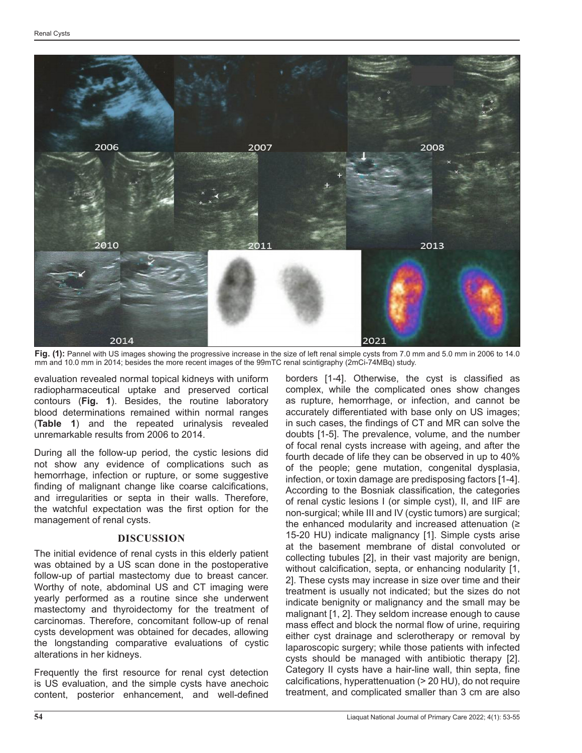

**Fig. (1):** Pannel with US images showing the progressive increase in the size of left renal simple cysts from 7.0 mm and 5.0 mm in 2006 to 14.0 mm and 10.0 mm in 2014; besides the more recent images of the 99mTC renal scintigraphy (2mCi-74MBq) study.

evaluation revealed normal topical kidneys with uniform radiopharmaceutical uptake and preserved cortical contours (**Fig. 1**). Besides, the routine laboratory blood determinations remained within normal ranges (**Table 1**) and the repeated urinalysis revealed unremarkable results from 2006 to 2014.

During all the follow-up period, the cystic lesions did not show any evidence of complications such as hemorrhage, infection or rupture, or some suggestive finding of malignant change like coarse calcifications, and irregularities or septa in their walls. Therefore, the watchful expectation was the first option for the management of renal cysts.

#### **DISCUSSION**

The initial evidence of renal cysts in this elderly patient was obtained by a US scan done in the postoperative follow-up of partial mastectomy due to breast cancer. Worthy of note, abdominal US and CT imaging were yearly performed as a routine since she underwent mastectomy and thyroidectomy for the treatment of carcinomas. Therefore, concomitant follow-up of renal cysts development was obtained for decades, allowing the longstanding comparative evaluations of cystic alterations in her kidneys.

Frequently the first resource for renal cyst detection is US evaluation, and the simple cysts have anechoic content, posterior enhancement, and well-defined

borders [1-4]. Otherwise, the cyst is classified as complex, while the complicated ones show changes as rupture, hemorrhage, or infection, and cannot be accurately differentiated with base only on US images; in such cases, the findings of CT and MR can solve the doubts [1-5]. The prevalence, volume, and the number of focal renal cysts increase with ageing, and after the fourth decade of life they can be observed in up to 40% of the people; gene mutation, congenital dysplasia, infection, or toxin damage are predisposing factors [1-4]. According to the Bosniak classification, the categories of renal cystic lesions I (or simple cyst), II, and IIF are non-surgical; while III and IV (cystic tumors) are surgical; the enhanced modularity and increased attenuation  $(≥$ 15-20 HU) indicate malignancy [1]. Simple cysts arise at the basement membrane of distal convoluted or collecting tubules [2], in their vast majority are benign, without calcification, septa, or enhancing nodularity [1, 2]. These cysts may increase in size over time and their treatment is usually not indicated; but the sizes do not indicate benignity or malignancy and the small may be malignant [1, 2]. They seldom increase enough to cause mass effect and block the normal flow of urine, requiring either cyst drainage and sclerotherapy or removal by laparoscopic surgery; while those patients with infected cysts should be managed with antibiotic therapy [2]. Category II cysts have a hair-line wall, thin septa, fine calcifications, hyperattenuation (> 20 HU), do not require treatment, and complicated smaller than 3 cm are also